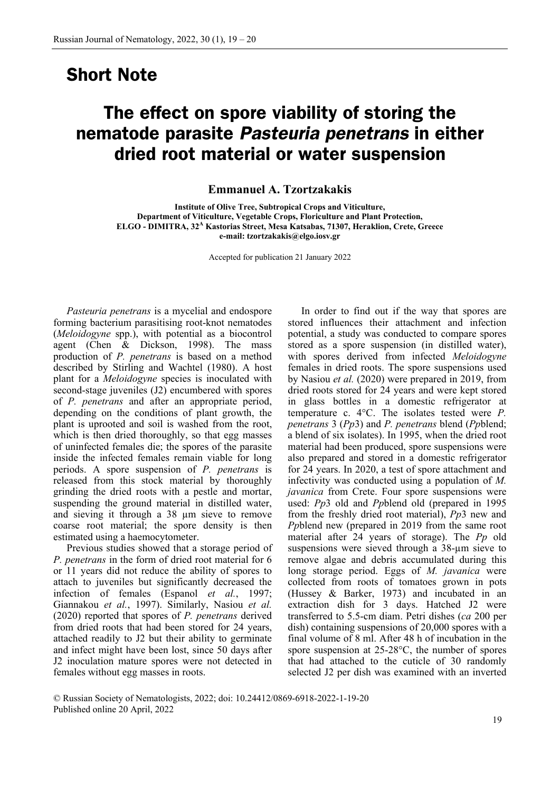## **Short Note**

## **The effect on spore viability of storing the nematode parasite** *Pasteuria penetrans* **in either dried root material or water suspension**

**Emmanuel A. Tzortzakakis**

**Institute of Olive Tree, Subtropical Crops and Viticulture, Department of Viticulture, Vegetable Crops, Floriculture and Plant Protection, ELGO - DIMITRA, 32<sup>A</sup> Kastorias Street, Mesa Katsabas, 71307, Heraklion, Crete, Greece e-mail: tzortzakakis@elgo.iosv.gr**

Accepted for publication 21 January 2022

*Pasteuria penetrans* is a mycelial and endospore forming bacterium parasitising root-knot nematodes (*Meloidogyne* spp.), with potential as a biocontrol agent (Chen & Dickson, 1998). The mass production of *P. penetrans* is based on a method described by Stirling and Wachtel (1980). A host plant for a *Meloidogyne* species is inoculated with second-stage juveniles (J2) encumbered with spores of *P. penetrans* and after an appropriate period, depending on the conditions of plant growth, the plant is uprooted and soil is washed from the root, which is then dried thoroughly, so that egg masses of uninfected females die; the spores of the parasite inside the infected females remain viable for long periods. A spore suspension of *P. penetrans* is released from this stock material by thoroughly grinding the dried roots with a pestle and mortar, suspending the ground material in distilled water, and sieving it through a 38 µm sieve to remove coarse root material; the spore density is then estimated using a haemocytometer.

Previous studies showed that a storage period of *P. penetrans* in the form of dried root material for 6 or 11 years did not reduce the ability of spores to attach to juveniles but significantly decreased the infection of females (Espanol *et al.*, 1997; Giannakou *et al.*, 1997). Similarly, Nasiou *et al.* (2020) reported that spores of *P. penetrans* derived from dried roots that had been stored for 24 years, attached readily to J2 but their ability to germinate and infect might have been lost, since 50 days after J2 inoculation mature spores were not detected in females without egg masses in roots.

In order to find out if the way that spores are stored influences their attachment and infection potential, a study was conducted to compare spores stored as a spore suspension (in distilled water), with spores derived from infected *Meloidogyne*  females in dried roots. The spore suspensions used by Nasiou *et al.* (2020) were prepared in 2019, from dried roots stored for 24 years and were kept stored in glass bottles in a domestic refrigerator at temperature c. 4°C. The isolates tested were *P. penetrans* 3 (*Pp*3) and *P. penetrans* blend (*Pp*blend; a blend of six isolates). In 1995, when the dried root material had been produced, spore suspensions were also prepared and stored in a domestic refrigerator for 24 years. In 2020, a test of spore attachment and infectivity was conducted using a population of *M. javanica* from Crete. Four spore suspensions were used: *Pp*3 old and *Pp*blend old (prepared in 1995 from the freshly dried root material), *Pp*3 new and *Pp*blend new (prepared in 2019 from the same root material after 24 years of storage). The *Pp* old suspensions were sieved through a 38-µm sieve to remove algae and debris accumulated during this long storage period. Eggs of *M. javanica* were collected from roots of tomatoes grown in pots (Hussey & Barker, 1973) and incubated in an extraction dish for 3 days. Hatched J2 were transferred to 5.5-cm diam. Petri dishes (*ca* 200 per dish) containing suspensions of 20,000 spores with a final volume of 8 ml. After 48 h of incubation in the spore suspension at 25-28°C, the number of spores that had attached to the cuticle of 30 randomly selected J2 per dish was examined with an inverted

© Russian Society of Nematologists, 2022; doi: 10.24412/0869-6918-2022-1-19-20 Published online 20 April, 2022